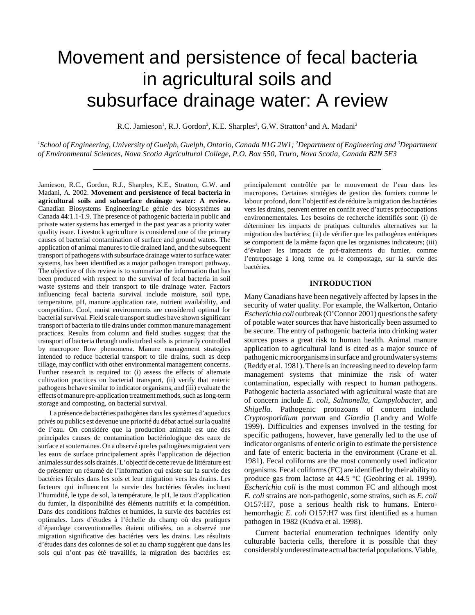# Movement and persistence of fecal bacteria in agricultural soils and subsurface drainage water: A review

R.C. Jamieson<sup>1</sup>, R.J. Gordon<sup>2</sup>, K.E. Sharples<sup>3</sup>, G.W. Stratton<sup>3</sup> and A. Madani<sup>2</sup>

*1 School of Engineering, University of Guelph, Guelph, Ontario, Canada N1G 2W1; 2 Department of Engineering and 3 Department of Environmental Sciences, Nova Scotia Agricultural College, P.O. Box 550, Truro, Nova Scotia, Canada B2N 5E3*

Jamieson, R.C., Gordon, R.J., Sharples, K.E., Stratton, G.W. and Madani, A. 2002. **Movement and persistence of fecal bacteria in agricultural soils and subsurface drainage water: A review**. Canadian Biosystems Engineering/Le génie des biosystèmes au Canada **44**:1.1-1.9. The presence of pathogenic bacteria in public and private water systems has emerged in the past year as a priority water quality issue. Livestock agriculture is considered one of the primary causes of bacterial contamination of surface and ground waters. The application of animal manures to tile drained land, and the subsequent transport of pathogens with subsurface drainage water to surface water systems, has been identified as a major pathogen transport pathway. The objective of this review is to summarize the information that has been produced with respect to the survival of fecal bacteria in soil waste systems and their transport to tile drainage water. Factors influencing fecal bacteria survival include moisture, soil type, temperature, pH, manure application rate, nutrient availability, and competition. Cool, moist environments are considered optimal for bacterial survival. Field scale transport studies have shown significant transport of bacteria to tile drains under common manure management practices. Results from column and field studies suggest that the transport of bacteria through undisturbed soils is primarily controlled by macropore flow phenomena. Manure management strategies intended to reduce bacterial transport to tile drains, such as deep tillage, may conflict with other environmental management concerns. Further research is required to: (i) assess the effects of alternate cultivation practices on bacterial transport, (ii) verify that enteric pathogens behave similar to indicator organisms, and (iii) evaluate the effects of manure pre-application treatment methods, such as long-term storage and composting, on bacterial survival.

La présence de bactéries pathogènes dans les systèmes d'aqueducs privés ou publics est devenue une priorité du débat actuel sur la qualité de l'eau. On considère que la production animale est une des principales causes de contamination bactériologique des eaux de surface et souterraines. On a observé que les pathogènes migraient vers les eaux de surface principalement après l'application de déjection animales sur des sols drainés. L'objectif de cette revue de littérature est de présenter un résumé de l'information qui existe sur la survie des bactéries fécales dans les sols et leur migration vers les drains. Les facteurs qui influencent la survie des bactéries fécales incluent l'humidité, le type de sol, la température, le pH, le taux d'application du fumier, la disponibilité des éléments nutritifs et la compétition. Dans des conditions fraîches et humides, la survie des bactéries est optimales. Lors d'études à l'échelle du champ où des pratiques d'épandage conventionnelles étaient utilisées, on a observé une migration significative des bactéries vers les drains. Les résultats d'études dans des colonnes de sol et au champ suggèrent que dans les sols qui n'ont pas été travaillés, la migration des bactéries est

principalement contrôlée par le mouvement de l'eau dans les macropores. Certaines stratégies de gestion des fumiers comme le labour profond, dont l'objectif est de réduire la migration des bactéries vers les drains, peuvent entrer en conflit avec d'autres préoccupations environnementales. Les besoins de recherche identifiés sont: (i) de déterminer les impacts de pratiques culturales alternatives sur la migration des bactéries; (ii) de vérifier que les pathogènes entériques se comportent de la même façon que les organismes indicateurs; (iii) d'évaluer les impacts de pré-traitements du fumier, comme l'entreposage à long terme ou le compostage, sur la survie des bactéries.

#### **INTRODUCTION**

Many Canadians have been negatively affected by lapses in the security of water quality. For example, the Walkerton, Ontario *Escherichia coli* outbreak (O'Connor 2001) questions the safety of potable water sources that have historically been assumed to be secure. The entry of pathogenic bacteria into drinking water sources poses a great risk to human health. Animal manure application to agricultural land is cited as a major source of pathogenic microorganisms in surface and groundwater systems (Reddy et al. 1981). There is an increasing need to develop farm management systems that minimize the risk of water contamination, especially with respect to human pathogens. Pathogenic bacteria associated with agricultural waste that are of concern include *E. coli*, *Salmonella*, *Campylobacter*, and *Shigella.* Pathogenic protozoans of concern include *Cryptosporidium parvum* and *Giardia* (Landry and Wolfe 1999). Difficulties and expenses involved in the testing for specific pathogens, however, have generally led to the use of indicator organisms of enteric origin to estimate the persistence and fate of enteric bacteria in the environment (Crane et al. 1981). Fecal coliforms are the most commonly used indicator organisms. Fecal coliforms (FC) are identified by their ability to produce gas from lactose at 44.5 °C (Geohring et al. 1999). *Escherichia coli* is the most common FC and although most *E. coli* strains are non-pathogenic, some strains, such as *E. coli* O157:H7, pose a serious health risk to humans. Enterohemorrhagic *E. coli* O157:H7 was first identified as a human pathogen in 1982 (Kudva et al. 1998).

Current bacterial enumeration techniques identify only culturable bacteria cells, therefore it is possible that they considerably underestimate actual bacterial populations. Viable,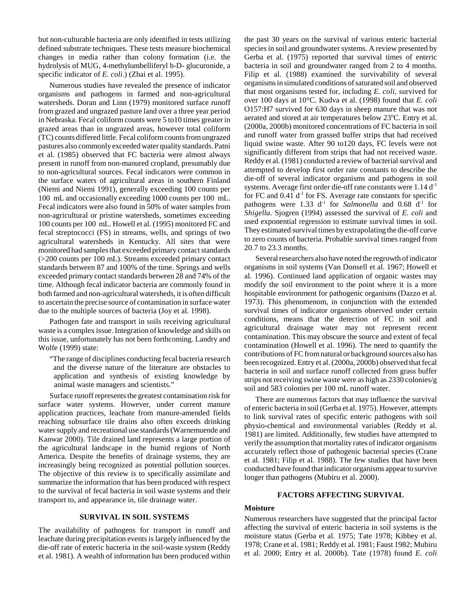but non-culturable bacteria are only identified in tests utilizing defined substrate techniques. These tests measure biochemical changes in media rather than colony formation (i.e. the hydrolysis of MUG, 4-methylumbelliferyl b-D- glucuronide, a specific indicator of *E. coli*.) (Zhai et al. 1995).

Numerous studies have revealed the presence of indicator organisms and pathogens in farmed and non-agricultural watersheds. Doran and Linn (1979) monitored surface runoff from grazed and ungrazed pasture land over a three year period in Nebraska. Fecal coliform counts were 5 to10 times greater in grazed areas than in ungrazed areas, however total coliform (TC) counts differed little. Fecal coliform counts from ungrazed pastures also commonly exceeded water quality standards. Patni et al. (1985) observed that FC bacteria were almost always present in runoff from non-manured cropland, presumably due to non-agricultural sources. Fecal indicators were common in the surface waters of agricultural areas in southern Finland (Niemi and Niemi 1991), generally exceeding 100 counts per 100 mL and occasionally exceeding 1000 counts per 100 mL. Fecal indicators were also found in 50% of water samples from non-agricultural or pristine watersheds, sometimes exceeding 100 counts per 100 mL. Howell et al. (1995) monitored FC and fecal streptococci (FS) in streams, wells, and springs of two agricultural watersheds in Kentucky. All sites that were monitored had samples that exceeded primary contact standards (>200 counts per 100 mL). Streams exceeded primary contact standards between 87 and 100% of the time. Springs and wells exceeded primary contact standards between 28 and 74% of the time. Although fecal indicator bacteria are commonly found in both farmed and non-agricultural watersheds, it is often difficult to ascertain the precise source of contamination in surface water due to the multiple sources of bacteria (Joy et al. 1998).

Pathogen fate and transport in soils receiving agricultural waste is a complex issue. Integration of knowledge and skills on this issue, unfortunately has not been forthcoming. Landry and Wolfe (1999) state:

"The range of disciplines conducting fecal bacteria research and the diverse nature of the literature are obstacles to application and synthesis of existing knowledge by animal waste managers and scientists."

Surface runoff represents the greatest contamination risk for surface water systems. However, under current manure application practices, leachate from manure-amended fields reaching subsurface tile drains also often exceeds drinking water supply and recreational use standards (Warnemuende and Kanwar 2000). Tile drained land represents a large portion of the agricultural landscape in the humid regions of North America. Despite the benefits of drainage systems, they are increasingly being recognized as potential pollution sources. The objective of this review is to specifically assimilate and summarize the information that has been produced with respect to the survival of fecal bacteria in soil waste systems and their transport to, and appearance in, tile drainage water.

## **SURVIVAL IN SOIL SYSTEMS**

The availability of pathogens for transport in runoff and leachate during precipitation events is largely influenced by the die-off rate of enteric bacteria in the soil-waste system (Reddy et al. 1981). A wealth of information has been produced within the past 30 years on the survival of various enteric bacterial species in soil and groundwater systems. A review presented by Gerba et al. (1975) reported that survival times of enteric bacteria in soil and groundwater ranged from 2 to 4 months. Filip et al. (1988) examined the survivability of several organisms in simulated conditions of saturated soil and observed that most organisms tested for, including *E. coli*, survived for over 100 days at 10°C. Kudva et al. (1998) found that *E. coli* O157:H7 survived for 630 days in sheep manure that was not aerated and stored at air temperatures below 23°C. Entry et al. (2000a, 2000b) monitored concentrations of FC bacteria in soil and runoff water from grassed buffer strips that had received liquid swine waste. After 90 to120 days, FC levels were not significantly different from strips that had not received waste. Reddy et al. (1981) conducted a review of bacterial survival and attempted to develop first order rate constants to describe the die-off of several indicator organisms and pathogens in soil systems. Average first order die-off rate constants were  $1.14 d<sup>-1</sup>$ for FC and  $0.41$  d<sup>-1</sup> for FS. Average rate constants for specific pathogens were  $1.33$  d<sup>-1</sup> for *Salmonella* and  $0.68$  d<sup>-1</sup> for *Shigella*. Sjogren (1994) assessed the survival of *E. coli* and used exponential regression to estimate survival times in soil. They estimated survival times by extrapolating the die-off curve to zero counts of bacteria. Probable survival times ranged from 20.7 to 23.3 months.

Several researchers also have noted the regrowth of indicator organisms in soil systems (Van Donsell et al. 1967; Howell et al. 1996). Continued land application of organic wastes may modify the soil environment to the point where it is a more hospitable environment for pathogenic organisms (Dazzo et al. 1973). This phenomenom, in conjunction with the extended survival times of indicator organisms observed under certain conditions, means that the detection of FC in soil and agricultural drainage water may not represent recent contamination. This may obscure the source and extent of fecal contamination (Howell et al. 1996). The need to quantify the contributions of FC from natural or background sources also has been recognized. Entry et al. (2000a, 2000b) observed that fecal bacteria in soil and surface runoff collected from grass buffer strips not receiving swine waste were as high as 2330 colonies/g soil and 583 colonies per 100 mL runoff water.

There are numerous factors that may influence the survival of enteric bacteria in soil (Gerba et al. 1975). However, attempts to link survival rates of specific enteric pathogens with soil physio-chemical and environmental variables (Reddy et al. 1981) are limited. Additionally, few studies have attempted to verify the assumption that mortality rates of indicator organisms accurately reflect those of pathogenic bacterial species (Crane et al. 1981; Filip et al. 1988). The few studies that have been conducted have found that indicator organisms appear to survive longer than pathogens (Mubiru et al. 2000).

#### **FACTORS AFFECTING SURVIVAL**

## **Moisture**

Numerous researchers have suggested that the principal factor affecting the survival of enteric bacteria in soil systems is the moisture status (Gerba et al. 1975; Tate 1978; Kibbey et al. 1978; Crane et al. 1981; Reddy et al. 1981; Faust 1982; Mubiru et al. 2000; Entry et al. 2000b). Tate (1978) found *E. coli*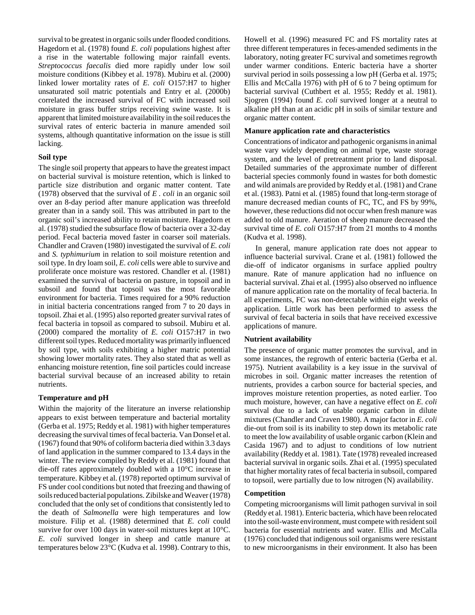survival to be greatest in organic soils under flooded conditions. Hagedorn et al. (1978) found *E. coli* populations highest after a rise in the watertable following major rainfall events. *Streptococcus faecalis* died more rapidly under low soil moisture conditions (Kibbey et al. 1978). Mubiru et al. (2000) linked lower mortality rates of *E. coli* O157:H7 to higher unsaturated soil matric potentials and Entry et al. (2000b) correlated the increased survival of FC with increased soil moisture in grass buffer strips receiving swine waste. It is apparent that limited moisture availability in the soil reduces the survival rates of enteric bacteria in manure amended soil systems, although quantitative information on the issue is still lacking.

## **Soil type**

The single soil property that appears to have the greatest impact on bacterial survival is moisture retention, which is linked to particle size distribution and organic matter content. Tate (1978) observed that the survival of *E . coli* in an organic soil over an 8-day period after manure application was threefold greater than in a sandy soil. This was attributed in part to the organic soil's increased ability to retain moisture. Hagedorn et al. (1978) studied the subsurface flow of bacteria over a 32-day period. Fecal bacteria moved faster in coarser soil materials. Chandler and Craven (1980) investigated the survival of *E. coli* and *S. typhimurium* in relation to soil moisture retention and soil type. In dry loam soil, *E. coli* cells were able to survive and proliferate once moisture was restored. Chandler et al. (1981) examined the survival of bacteria on pasture, in topsoil and in subsoil and found that topsoil was the most favorable environment for bacteria. Times required for a 90% reduction in initial bacteria concentrations ranged from 7 to 20 days in topsoil. Zhai et al. (1995) also reported greater survival rates of fecal bacteria in topsoil as compared to subsoil. Mubiru et al. (2000) compared the mortality of *E. coli* O157:H7 in two different soil types. Reduced mortality was primarily influenced by soil type, with soils exhibiting a higher matric potential showing lower mortality rates. They also stated that as well as enhancing moisture retention, fine soil particles could increase bacterial survival because of an increased ability to retain nutrients.

## **Temperature and pH**

Within the majority of the literature an inverse relationship appears to exist between temperature and bacterial mortality (Gerba et al. 1975; Reddy et al. 1981) with higher temperatures decreasing the survival times of fecal bacteria. Van Donsel et al. (1967) found that 90% of coliform bacteria died within 3.3 days of land application in the summer compared to 13.4 days in the winter. The review compiled by Reddy et al. (1981) found that die-off rates approximately doubled with a 10°C increase in temperature. Kibbey et al. (1978) reported optimum survival of FS under cool conditions but noted that freezing and thawing of soils reduced bacterial populations. Zibilske and Weaver (1978) concluded that the only set of conditions that consistently led to the death of *Salmonella* were high temperatures and low moisture. Filip et al. (1988) determined that *E. coli* could survive for over 100 days in water-soil mixtures kept at 10°C. *E. coli* survived longer in sheep and cattle manure at temperatures below 23°C (Kudva et al. 1998). Contrary to this,

Howell et al. (1996) measured FC and FS mortality rates at three different temperatures in feces-amended sediments in the laboratory, noting greater FC survival and sometimes regrowth under warmer conditions. Enteric bacteria have a shorter survival period in soils possessing a low pH (Gerba et al. 1975; Ellis and McCalla 1976) with pH of 6 to 7 being optimum for bacterial survival (Cuthbert et al. 1955; Reddy et al. 1981). Sjogren (1994) found *E. coli* survived longer at a neutral to alkaline pH than at an acidic pH in soils of similar texture and organic matter content.

### **Manure application rate and characteristics**

Concentrations of indicator and pathogenic organisms in animal waste vary widely depending on animal type, waste storage system, and the level of pretreatment prior to land disposal. Detailed summaries of the approximate number of different bacterial species commonly found in wastes for both domestic and wild animals are provided by Reddy et al. (1981) and Crane et al. (1983). Patni et al. (1985) found that long-term storage of manure decreased median counts of FC, TC, and FS by 99%, however, these reductions did not occur when fresh manure was added to old manure. Aeration of sheep manure decreased the survival time of *E. coli* O157:H7 from 21 months to 4 months (Kudva et al. 1998).

In general, manure application rate does not appear to influence bacterial survival. Crane et al. (1981) followed the die-off of indicator organisms in surface applied poultry manure. Rate of manure application had no influence on bacterial survival. Zhai et al. (1995) also observed no influence of manure application rate on the mortality of fecal bacteria. In all experiments, FC was non-detectable within eight weeks of application. Little work has been performed to assess the survival of fecal bacteria in soils that have received excessive applications of manure.

#### **Nutrient availability**

The presence of organic matter promotes the survival, and in some instances, the regrowth of enteric bacteria (Gerba et al. 1975). Nutrient availability is a key issue in the survival of microbes in soil. Organic matter increases the retention of nutrients, provides a carbon source for bacterial species, and improves moisture retention properties, as noted earlier. Too much moisture, however, can have a negative effect on *E. coli* survival due to a lack of usable organic carbon in dilute mixtures (Chandler and Craven 1980). A major factor in *E. coli* die-out from soil is its inability to step down its metabolic rate to meet the low availability of usable organic carbon (Klein and Casida 1967) and to adjust to conditions of low nutrient availability (Reddy et al. 1981). Tate (1978) revealed increased bacterial survival in organic soils. Zhai et al. (1995) speculated that higher mortality rates of fecal bacteria in subsoil, compared to topsoil, were partially due to low nitrogen (N) availability.

#### **Competition**

Competing microorganisms will limit pathogen survival in soil (Reddy et al. 1981). Enteric bacteria, which have been relocated into the soil-waste environment, must compete with resident soil bacteria for essential nutrients and water. Ellis and McCalla (1976) concluded that indigenous soil organisms were resistant to new microorganisms in their environment. It also has been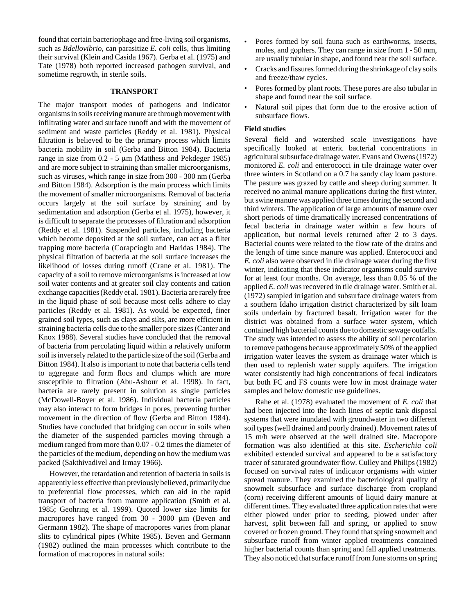found that certain bacteriophage and free-living soil organisms, such as *Bdellovibrio,* can parasitize *E. coli* cells*,* thus limiting their survival (Klein and Casida 1967). Gerba et al. (1975) and Tate (1978) both reported increased pathogen survival, and sometime regrowth, in sterile soils.

#### **TRANSPORT**

The major transport modes of pathogens and indicator organisms in soils receiving manure are through movement with infiltrating water and surface runoff and with the movement of sediment and waste particles (Reddy et al. 1981). Physical filtration is believed to be the primary process which limits bacteria mobility in soil (Gerba and Bitton 1984). Bacteria range in size from  $0.2 - 5 \mu m$  (Matthess and Pekdeger 1985) and are more subject to straining than smaller microorganisms, such as viruses, which range in size from 300 - 300 nm (Gerba and Bitton 1984). Adsorption is the main process which limits the movement of smaller microorganisms. Removal of bacteria occurs largely at the soil surface by straining and by sedimentation and adsorption (Gerba et al. 1975), however, it is difficult to separate the processes of filtration and adsorption (Reddy et al. 1981). Suspended particles, including bacteria which become deposited at the soil surface, can act as a filter trapping more bacteria (Corapcioglu and Haridas 1984). The physical filtration of bacteria at the soil surface increases the likelihood of losses during runoff (Crane et al. 1981). The capacity of a soil to remove microorganisms is increased at low soil water contents and at greater soil clay contents and cation exchange capacities (Reddy et al. 1981). Bacteria are rarely free in the liquid phase of soil because most cells adhere to clay particles (Reddy et al. 1981). As would be expected, finer grained soil types, such as clays and silts, are more efficient in straining bacteria cells due to the smaller pore sizes (Canter and Knox 1988). Several studies have concluded that the removal of bacteria from percolating liquid within a relatively uniform soil is inversely related to the particle size of the soil (Gerba and Bitton 1984). It also is important to note that bacteria cells tend to aggregate and form flocs and clumps which are more susceptible to filtration (Abu-Ashour et al. 1998). In fact, bacteria are rarely present in solution as single particles (McDowell-Boyer et al. 1986). Individual bacteria particles may also interact to form bridges in pores, preventing further movement in the direction of flow (Gerba and Bitton 1984). Studies have concluded that bridging can occur in soils when the diameter of the suspended particles moving through a medium ranged from more than 0.07 - 0.2 times the diameter of the particles of the medium, depending on how the medium was packed (Sakthivadivel and Irmay 1966).

However, the retardation and retention of bacteria in soils is apparently less effective than previously believed, primarily due to preferential flow processes, which can aid in the rapid transport of bacteria from manure application (Smith et al. 1985; Geohring et al. 1999). Quoted lower size limits for macropores have ranged from  $30 - 3000 \mu m$  (Beven and Germann 1982). The shape of macropores varies from planar slits to cylindrical pipes (White 1985). Beven and Germann (1982) outlined the main processes which contribute to the formation of macropores in natural soils:

- Pores formed by soil fauna such as earthworms, insects, moles, and gophers. They can range in size from 1 - 50 mm, are usually tubular in shape, and found near the soil surface.
- Cracks and fissures formed during the shrinkage of clay soils and freeze/thaw cycles.
- Pores formed by plant roots. These pores are also tubular in shape and found near the soil surface.
- Natural soil pipes that form due to the erosive action of subsurface flows.

### **Field studies**

Several field and watershed scale investigations have specifically looked at enteric bacterial concentrations in agricultural subsurface drainage water. Evans and Owens (1972) monitored *E. coli* and enterococci in tile drainage water over three winters in Scotland on a 0.7 ha sandy clay loam pasture. The pasture was grazed by cattle and sheep during summer. It received no animal manure applications during the first winter, but swine manure was applied three times during the second and third winters. The application of large amounts of manure over short periods of time dramatically increased concentrations of fecal bacteria in drainage water within a few hours of application, but normal levels returned after 2 to 3 days. Bacterial counts were related to the flow rate of the drains and the length of time since manure was applied. Enterococci and *E. coli* also were observed in tile drainage water during the first winter, indicating that these indicator organisms could survive for at least four months. On average, less than 0.05 % of the applied *E. coli* was recovered in tile drainage water. Smith et al. (1972) sampled irrigation and subsurface drainage waters from a southern Idaho irrigation district characterized by silt loam soils underlain by fractured basalt. Irrigation water for the district was obtained from a surface water system, which contained high bacterial counts due to domestic sewage outfalls. The study was intended to assess the ability of soil percolation to remove pathogens because approximately 50% of the applied irrigation water leaves the system as drainage water which is then used to replenish water supply aquifers. The irrigation water consistently had high concentrations of fecal indicators but both FC and FS counts were low in most drainage water samples and below domestic use guidelines.

Rahe et al. (1978) evaluated the movement of *E. coli* that had been injected into the leach lines of septic tank disposal systems that were inundated with groundwater in two different soil types (well drained and poorly drained). Movement rates of 15 m/h were observed at the well drained site. Macropore formation was also identified at this site. *Escherichia coli* exhibited extended survival and appeared to be a satisfactory tracer of saturated groundwater flow. Culley and Philips (1982) focused on survival rates of indicator organisms with winter spread manure. They examined the bacteriological quality of snowmelt subsurface and surface discharge from cropland (corn) receiving different amounts of liquid dairy manure at different times. They evaluated three application rates that were either plowed under prior to seeding, plowed under after harvest, split between fall and spring, or applied to snow covered or frozen ground. They found that spring snowmelt and subsurface runoff from winter applied treatments contained higher bacterial counts than spring and fall applied treatments. They also noticed that surface runoff from June storms on spring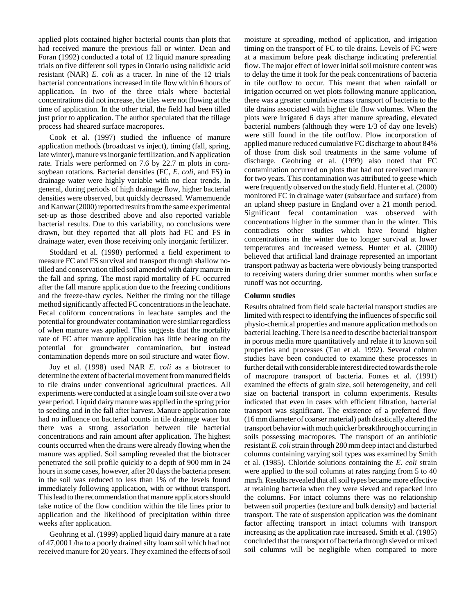applied plots contained higher bacterial counts than plots that had received manure the previous fall or winter. Dean and Foran (1992) conducted a total of 12 liquid manure spreading trials on five different soil types in Ontario using nalidixic acid resistant (NAR) *E. coli* as a tracer. In nine of the 12 trials bacterial concentrations increased in tile flow within 6 hours of application. In two of the three trials where bacterial concentrations did not increase, the tiles were not flowing at the time of application. In the other trial, the field had been tilled just prior to application. The author speculated that the tillage process had sheared surface macropores.

Cook et al. (1997) studied the influence of manure application methods (broadcast vs inject), timing (fall, spring, late winter), manure vs inorganic fertilization, and N application rate. Trials were performed on 7.6 by 22.7 m plots in cornsoybean rotations. Bacterial densities (FC, *E. coli*, and FS) in drainage water were highly variable with no clear trends. In general, during periods of high drainage flow, higher bacterial densities were observed, but quickly decreased. Warnemuende and Kanwar (2000) reported results from the same experimental set-up as those described above and also reported variable bacterial results. Due to this variability, no conclusions were drawn, but they reported that all plots had FC and FS in drainage water, even those receiving only inorganic fertilizer.

Stoddard et al. (1998) performed a field experiment to measure FC and FS survival and transport through shallow notilled and conservation tilled soil amended with dairy manure in the fall and spring. The most rapid mortality of FC occurred after the fall manure application due to the freezing conditions and the freeze-thaw cycles. Neither the timing nor the tillage method significantly affected FC concentrations in the leachate. Fecal coliform concentrations in leachate samples and the potential for groundwater contamination were similar regardless of when manure was applied. This suggests that the mortality rate of FC after manure application has little bearing on the potential for groundwater contamination, but instead contamination depends more on soil structure and water flow.

Joy et al. (1998) used NAR *E. coli* as a biotracer to determine the extent of bacterial movement from manured fields to tile drains under conventional agricultural practices. All experiments were conducted at a single loam soil site over a two year period. Liquid dairy manure was applied in the spring prior to seeding and in the fall after harvest. Manure application rate had no influence on bacterial counts in tile drainage water but there was a strong association between tile bacterial concentrations and rain amount after application. The highest counts occurred when the drains were already flowing when the manure was applied. Soil sampling revealed that the biotracer penetrated the soil profile quickly to a depth of 900 mm in 24 hours in some cases, however, after 20 days the bacteria present in the soil was reduced to less than 1% of the levels found immediately following application, with or without transport. This lead to the recommendation that manure applicators should take notice of the flow condition within the tile lines prior to application and the likelihood of precipitation within three weeks after application.

Geohring et al. (1999) applied liquid dairy manure at a rate of 47,000 L/ha to a poorly drained silty loam soil which had not received manure for 20 years. They examined the effects of soil moisture at spreading, method of application, and irrigation timing on the transport of FC to tile drains. Levels of FC were at a maximum before peak discharge indicating preferential flow. The major effect of lower initial soil moisture content was to delay the time it took for the peak concentrations of bacteria in tile outflow to occur. This meant that when rainfall or irrigation occurred on wet plots following manure application, there was a greater cumulative mass transport of bacteria to the tile drains associated with higher tile flow volumes. When the plots were irrigated 6 days after manure spreading, elevated bacterial numbers (although they were 1/3 of day one levels) were still found in the tile outflow. Plow incorporation of applied manure reduced cumulative FC discharge to about 84% of those from disk soil treatments in the same volume of discharge. Geohring et al. (1999) also noted that FC contamination occurred on plots that had not received manure for two years. This contamination was attributed to geese which were frequently observed on the study field. Hunter et al. (2000) monitored FC in drainage water (subsurface and surface) from an upland sheep pasture in England over a 21 month period. Significant fecal contamination was observed with concentrations higher in the summer than in the winter. This contradicts other studies which have found higher concentrations in the winter due to longer survival at lower temperatures and increased wetness. Hunter et al. (2000) believed that artificial land drainage represented an important transport pathway as bacteria were obviously being transported to receiving waters during drier summer months when surface runoff was not occurring.

### **Column studies**

Results obtained from field scale bacterial transport studies are limited with respect to identifying the influences of specific soil physio-chemical properties and manure application methods on bacterial leaching. There is a need to describe bacterial transport in porous media more quantitatively and relate it to known soil properties and processes (Tan et al. 1992). Several column studies have been conducted to examine these processes in further detail with considerable interest directed towards the role of macropore transport of bacteria. Fontes et al. (1991) examined the effects of grain size, soil heterogeneity, and cell size on bacterial transport in column experiments. Results indicated that even in cases with efficient filtration, bacterial transport was significant. The existence of a preferred flow (16 mm diameter of coarser material) path drastically altered the transport behavior with much quicker breakthrough occurring in soils possessing macropores. The transport of an antibiotic resistant *E. coli* strain through 280 mm deep intact and disturbed columns containing varying soil types was examined by Smith et al. (1985). Chloride solutions containing the *E. coli* strain were applied to the soil columns at rates ranging from 5 to 40 mm/h. Results revealed that all soil types became more effective at retaining bacteria when they were sieved and repacked into the columns. For intact columns there was no relationship between soil properties (texture and bulk density) and bacterial transport. The rate of suspension application was the dominant factor affecting transport in intact columns with transport increasing as the application rate increased**.** Smith et al. (1985) concluded that the transport of bacteria through sieved or mixed soil columns will be negligible when compared to more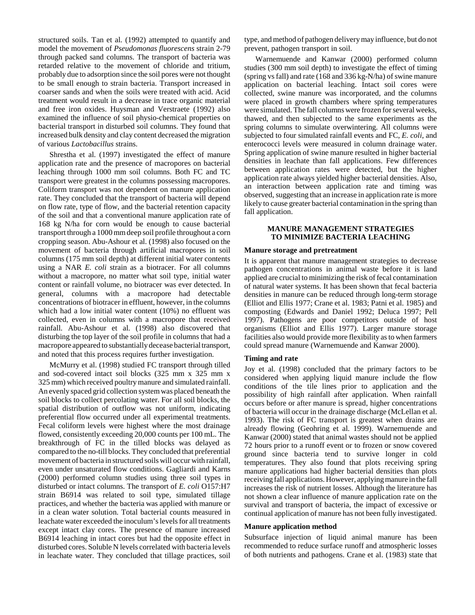structured soils. Tan et al. (1992) attempted to quantify and model the movement of *Pseudomonas fluorescens* strain 2-79 through packed sand columns. The transport of bacteria was retarded relative to the movement of chloride and tritium, probably due to adsorption since the soil pores were not thought to be small enough to strain bacteria. Transport increased in coarser sands and when the soils were treated with acid. Acid treatment would result in a decrease in trace organic material and free iron oxides. Huysman and Verstraete (1992) also examined the influence of soil physio-chemical properties on bacterial transport in disturbed soil columns. They found that increased bulk density and clay content decreased the migration of various *Lactobacillus* strains.

Shrestha et al. (1997) investigated the effect of manure application rate and the presence of macropores on bacterial leaching through 1000 mm soil columns. Both FC and TC transport were greatest in the columns possessing macropores. Coliform transport was not dependent on manure application rate. They concluded that the transport of bacteria will depend on flow rate, type of flow, and the bacterial retention capacity of the soil and that a conventional manure application rate of 168 kg N/ha for corn would be enough to cause bacterial transport through a 1000 mm deep soil profile throughout a corn cropping season. Abu-Ashour et al. (1998) also focused on the movement of bacteria through artificial macropores in soil columns (175 mm soil depth) at different initial water contents using a NAR *E. coli* strain as a biotracer. For all columns without a macropore, no matter what soil type, initial water content or rainfall volume, no biotracer was ever detected. In general, columns with a macropore had detectable concentrations of biotracer in effluent, however, in the columns which had a low initial water content (10%) no effluent was collected, even in columns with a macropore that received rainfall. Abu-Ashour et al. (1998) also discovered that disturbing the top layer of the soil profile in columns that had a macropore appeared to substantially decease bacterial transport, and noted that this process requires further investigation.

McMurry et al. (1998) studied FC transport through tilled and sod-covered intact soil blocks (325 mm x 325 mm x 325 mm) which received poultry manure and simulated rainfall. An evenly spaced grid collection system was placed beneath the soil blocks to collect percolating water. For all soil blocks, the spatial distribution of outflow was not uniform, indicating preferential flow occurred under all experimental treatments. Fecal coliform levels were highest where the most drainage flowed, consistently exceeding 20,000 counts per 100 mL. The breakthrough of FC in the tilled blocks was delayed as compared to the no-till blocks. They concluded that preferential movement of bacteria in structured soils will occur with rainfall, even under unsaturated flow conditions. Gagliardi and Karns (2000) performed column studies using three soil types in disturbed or intact columns. The transport of *E. coli* O157:H7 strain B6914 was related to soil type, simulated tillage practices, and whether the bacteria was applied with manure or in a clean water solution. Total bacterial counts measured in leachate water exceeded the inoculum's levels for all treatments except intact clay cores. The presence of manure increased B6914 leaching in intact cores but had the opposite effect in disturbed cores. Soluble N levels correlated with bacteria levels in leachate water. They concluded that tillage practices, soil

type, and method of pathogen delivery may influence, but do not prevent, pathogen transport in soil.

Warnemuende and Kanwar (2000) performed column studies (300 mm soil depth) to investigate the effect of timing (spring vs fall) and rate (168 and 336 kg-N/ha) of swine manure application on bacterial leaching. Intact soil cores were collected, swine manure was incorporated, and the columns were placed in growth chambers where spring temperatures were simulated. The fall columns were frozen for several weeks, thawed, and then subjected to the same experiments as the spring columns to simulate overwintering. All columns were subjected to four simulated rainfall events and FC, *E. coli*, and enterococci levels were measured in column drainage water. Spring application of swine manure resulted in higher bacterial densities in leachate than fall applications. Few differences between application rates were detected, but the higher application rate always yielded higher bacterial densities. Also, an interaction between application rate and timing was observed, suggesting that an increase in application rate is more likely to cause greater bacterial contamination in the spring than fall application.

## **MANURE MANAGEMENT STRATEGIES TO MINIMIZE BACTERIA LEACHING**

#### **Manure storage and pretreatment**

It is apparent that manure management strategies to decrease pathogen concentrations in animal waste before it is land applied are crucial to minimizing the risk of fecal contamination of natural water systems. It has been shown that fecal bacteria densities in manure can be reduced through long-term storage (Elliot and Ellis 1977; Crane et al. 1983; Patni et al. 1985) and composting (Edwards and Daniel 1992; Deluca 1997; Pell 1997). Pathogens are poor competitors outside of host organisms (Elliot and Ellis 1977). Larger manure storage facilities also would provide more flexibility as to when farmers could spread manure (Warnemuende and Kanwar 2000).

### **Timing and rate**

Joy et al. (1998) concluded that the primary factors to be considered when applying liquid manure include the flow conditions of the tile lines prior to application and the possibility of high rainfall after application. When rainfall occurs before or after manure is spread, higher concentrations of bacteria will occur in the drainage discharge (McLellan et al. 1993). The risk of FC transport is greatest when drains are already flowing (Geohring et al. 1999). Warnemuende and Kanwar (2000) stated that animal wastes should not be applied 72 hours prior to a runoff event or to frozen or snow covered ground since bacteria tend to survive longer in cold temperatures. They also found that plots receiving spring manure applications had higher bacterial densities than plots receiving fall applications. However, applying manure in the fall increases the risk of nutrient losses. Although the literature has not shown a clear influence of manure application rate on the survival and transport of bacteria, the impact of excessive or continual application of manure has not been fully investigated.

#### **Manure application method**

Subsurface injection of liquid animal manure has been recommended to reduce surface runoff and atmospheric losses of both nutrients and pathogens. Crane et al. (1983) state that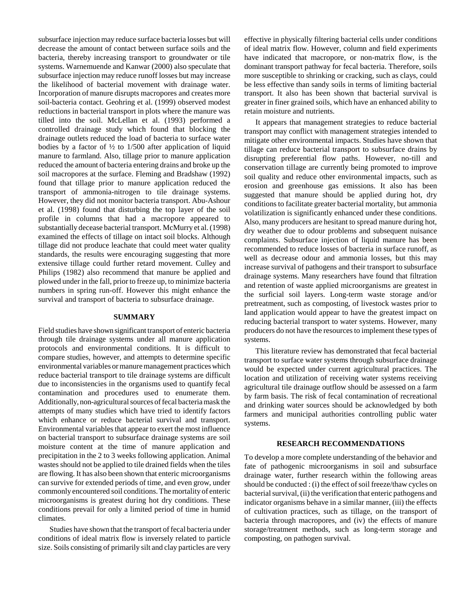subsurface injection may reduce surface bacteria losses but will decrease the amount of contact between surface soils and the bacteria, thereby increasing transport to groundwater or tile systems. Warnemuende and Kanwar (2000) also speculate that subsurface injection may reduce runoff losses but may increase the likelihood of bacterial movement with drainage water. Incorporation of manure disrupts macropores and creates more soil-bacteria contact. Geohring et al. (1999) observed modest reductions in bacterial transport in plots where the manure was tilled into the soil. McLellan et al. (1993) performed a controlled drainage study which found that blocking the drainage outlets reduced the load of bacteria to surface water bodies by a factor of  $\frac{1}{2}$  to 1/500 after application of liquid manure to farmland. Also, tillage prior to manure application reduced the amount of bacteria entering drains and broke up the soil macropores at the surface. Fleming and Bradshaw (1992) found that tillage prior to manure application reduced the transport of ammonia-nitrogen to tile drainage systems. However, they did not monitor bacteria transport. Abu-Ashour et al. (1998) found that disturbing the top layer of the soil profile in columns that had a macropore appeared to substantially decease bacterial transport. McMurry et al. (1998) examined the effects of tillage on intact soil blocks. Although tillage did not produce leachate that could meet water quality standards, the results were encouraging suggesting that more extensive tillage could further retard movement. Culley and Philips (1982) also recommend that manure be applied and plowed under in the fall, prior to freeze up, to minimize bacteria numbers in spring run-off. However this might enhance the survival and transport of bacteria to subsurface drainage.

#### **SUMMARY**

Field studies have shown significant transport of enteric bacteria through tile drainage systems under all manure application protocols and environmental conditions. It is difficult to compare studies, however, and attempts to determine specific environmental variables or manure management practices which reduce bacterial transport to tile drainage systems are difficult due to inconsistencies in the organisms used to quantify fecal contamination and procedures used to enumerate them. Additionally, non-agricultural sources of fecal bacteria mask the attempts of many studies which have tried to identify factors which enhance or reduce bacterial survival and transport. Environmental variables that appear to exert the most influence on bacterial transport to subsurface drainage systems are soil moisture content at the time of manure application and precipitation in the 2 to 3 weeks following application. Animal wastes should not be applied to tile drained fields when the tiles are flowing. It has also been shown that enteric microorganisms can survive for extended periods of time, and even grow, under commonly encountered soil conditions. The mortality of enteric microorganisms is greatest during hot dry conditions. These conditions prevail for only a limited period of time in humid climates.

Studies have shown that the transport of fecal bacteria under conditions of ideal matrix flow is inversely related to particle size. Soils consisting of primarily silt and clay particles are very effective in physically filtering bacterial cells under conditions of ideal matrix flow. However, column and field experiments have indicated that macropore, or non-matrix flow, is the dominant transport pathway for fecal bacteria. Therefore, soils more susceptible to shrinking or cracking, such as clays, could be less effective than sandy soils in terms of limiting bacterial transport. It also has been shown that bacterial survival is greater in finer grained soils, which have an enhanced ability to retain moisture and nutrients.

It appears that management strategies to reduce bacterial transport may conflict with management strategies intended to mitigate other environmental impacts. Studies have shown that tillage can reduce bacterial transport to subsurface drains by disrupting preferential flow paths. However, no-till and conservation tillage are currently being promoted to improve soil quality and reduce other environmental impacts, such as erosion and greenhouse gas emissions. It also has been suggested that manure should be applied during hot, dry conditions to facilitate greater bacterial mortality, but ammonia volatilization is significantly enhanced under these conditions. Also, many producers are hesitant to spread manure during hot, dry weather due to odour problems and subsequent nuisance complaints. Subsurface injection of liquid manure has been recommended to reduce losses of bacteria in surface runoff, as well as decrease odour and ammonia losses, but this may increase survival of pathogens and their transport to subsurface drainage systems. Many researchers have found that filtration and retention of waste applied microorganisms are greatest in the surficial soil layers. Long-term waste storage and/or pretreatment, such as composting, of livestock wastes prior to land application would appear to have the greatest impact on reducing bacterial transport to water systems. However, many producers do not have the resources to implement these types of systems.

This literature review has demonstrated that fecal bacterial transport to surface water systems through subsurface drainage would be expected under current agricultural practices. The location and utilization of receiving water systems receiving agricultural tile drainage outflow should be assessed on a farm by farm basis. The risk of fecal contamination of recreational and drinking water sources should be acknowledged by both farmers and municipal authorities controlling public water systems.

## **RESEARCH RECOMMENDATIONS**

To develop a more complete understanding of the behavior and fate of pathogenic microorganisms in soil and subsurface drainage water, further research within the following areas should be conducted : (i) the effect of soil freeze/thaw cycles on bacterial survival, (ii) the verification that enteric pathogens and indicator organisms behave in a similar manner, (iii) the effects of cultivation practices, such as tillage, on the transport of bacteria through macropores, and (iv) the effects of manure storage/treatment methods, such as long-term storage and composting, on pathogen survival.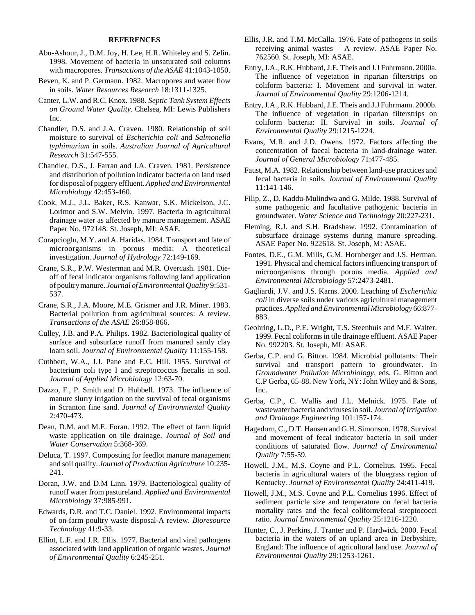#### **REFERENCES**

- Abu-Ashour, J., D.M. Joy, H. Lee, H.R. Whiteley and S. Zelin. 1998. Movement of bacteria in unsaturated soil columns with macropores. *Transactions of the ASAE* 41:1043-1050.
- Beven, K. and P. Germann. 1982. Macropores and water flow in soils. *Water Resources Research* 18:1311-1325.
- Canter, L.W. and R.C. Knox. 1988. *Septic Tank System Effects on Ground Water Quality*. Chelsea, MI: Lewis Publishers Inc.
- Chandler, D.S. and J.A. Craven. 1980. Relationship of soil moisture to survival of *Escherichia coli* and *Salmonella typhimurium* in soils. *Australian Journal of Agricultural Research* 31:547-555.
- Chandler, D.S., J. Farran and J.A. Craven. 1981. Persistence and distribution of pollution indicator bacteria on land used for disposal of piggery effluent. *Applied and Environmental Microbiology* 42:453-460.
- Cook, M.J., J.L. Baker, R.S. Kanwar, S.K. Mickelson, J.C. Lorimor and S.W. Melvin. 1997. Bacteria in agricultural drainage water as affected by manure management. ASAE Paper No. 972148. St. Joseph, MI: ASAE.
- Corapcioglu, M.Y. and A. Haridas. 1984. Transport and fate of microorganisms in porous media: A theoretical investigation. *Journal of Hydrology* 72:149-169.
- Crane, S.R., P.W. Westerman and M.R. Overcash. 1981. Dieoff of fecal indicator organisms following land application of poultry manure. *Journal of Environmental Quality* 9:531- 537.
- Crane, S.R., J.A. Moore, M.E. Grismer and J.R. Miner. 1983. Bacterial pollution from agricultural sources: A review. *Transactions of the ASAE* 26:858-866.
- Culley, J.B. and P.A. Philips. 1982. Bacteriological quality of surface and subsurface runoff from manured sandy clay loam soil. *Journal of Environmental Quality* 11:155-158.
- Cuthbert, W.A., J.J. Pane and E.C. Hill. 1955. Survival of bacterium coli type I and streptococcus faecalis in soil. *Journal of Applied Microbiology* 12:63-70.
- Dazzo, F., P. Smith and D. Hubbell. 1973. The influence of manure slurry irrigation on the survival of fecal organisms in Scranton fine sand. *Journal of Environmental Quality* 2:470-473.
- Dean, D.M. and M.E. Foran. 1992. The effect of farm liquid waste application on tile drainage. *Journal of Soil and Water Conservation* 5:368-369.
- Deluca, T. 1997. Composting for feedlot manure management and soil quality. *Journal of Production Agriculture* 10:235- 241.
- Doran, J.W. and D.M Linn. 1979. Bacteriological quality of runoff water from pastureland. *Applied and Environmental Microbiology* 37:985-991.
- Edwards, D.R. and T.C. Daniel. 1992. Environmental impacts of on-farm poultry waste disposal-A review. *Bioresource Technology* 41:9-33.
- Elliot, L.F. and J.R. Ellis. 1977. Bacterial and viral pathogens associated with land application of organic wastes. *Journal of Environmental Quality* 6:245-251.
- Ellis, J.R. and T.M. McCalla. 1976. Fate of pathogens in soils receiving animal wastes – A review. ASAE Paper No. 762560. St. Joseph, MI: ASAE.
- Entry, J.A., R.K. Hubbard, J.E. Theis and J.J Fuhrmann. 2000a. The influence of vegetation in riparian filterstrips on coliform bacteria: I. Movement and survival in water. *Journal of Environmental Quality* 29:1206-1214.
- Entry, J.A., R.K. Hubbard, J.E. Theis and J.J Fuhrmann. 2000b. The influence of vegetation in riparian filterstrips on coliform bacteria: II. Survival in soils. *Journal of Environmental Quality* 29:1215-1224.
- Evans, M.R. and J.D. Owens. 1972. Factors affecting the concentration of faecal bacteria in land-drainage water. *Journal of General Microbiology* 71:477-485.
- Faust, M.A. 1982. Relationship between land-use practices and fecal bacteria in soils. *Journal of Environmental Quality* 11:141-146.
- Filip, Z., D. Kaddu-Mulindwa and G. Milde. 1988. Survival of some pathogenic and facultative pathogenic bacteria in groundwater. *Water Science and Technology* 20:227-231.
- Fleming, R.J. and S.H. Bradshaw. 1992. Contamination of subsurface drainage systems during manure spreading. ASAE Paper No. 922618. St. Joseph, M: ASAE.
- Fontes, D.E., G.M. Mills, G.M. Hornberger and J.S. Herman. 1991. Physical and chemical factors influencing transport of microorganisms through porous media. *Applied and Environmental Microbiology* 57:2473-2481.
- Gagliardi, J.V. and J.S. Karns. 2000. Leaching of *Escherichia coli* in diverse soils under various agricultural management practices. *Applied and Environmental Microbiology* 66:877- 883.
- Geohring, L.D., P.E. Wright, T.S. Steenhuis and M.F. Walter. 1999. Fecal coliforms in tile drainage effluent. ASAE Paper No. 992203. St. Joseph, MI: ASAE.
- Gerba, C.P. and G. Bitton. 1984. Microbial pollutants: Their survival and transport pattern to groundwater. In *Groundwater Pollution Microbiology*, eds. G. Bitton and C.P Gerba, 65-88. New York, NY: John Wiley and & Sons, Inc.
- Gerba, C.P., C. Wallis and J.L. Melnick. 1975. Fate of wastewater bacteria and viruses in soil. *Journal of Irrigation and Drainage Engineering* 101:157-174.
- Hagedorn, C., D.T. Hansen and G.H. Simonson. 1978. Survival and movement of fecal indicator bacteria in soil under conditions of saturated flow. *Journal of Environmental Quality* 7:55-59.
- Howell, J.M., M.S. Coyne and P.L. Cornelius. 1995. Fecal bacteria in agricultural waters of the bluegrass region of Kentucky. *Journal of Environmental Quality* 24:411-419.
- Howell, J.M., M.S. Coyne and P.L. Cornelius 1996. Effect of sediment particle size and temperature on fecal bacteria mortality rates and the fecal coliform/fecal streptococci ratio. *Journal Environmental Quality* 25:1216-1220.
- Hunter, C., J. Perkins, J. Tranter and P. Hardwick. 2000. Fecal bacteria in the waters of an upland area in Derbyshire, England: The influence of agricultural land use. *Journal of Environmental Quality* 29:1253-1261.